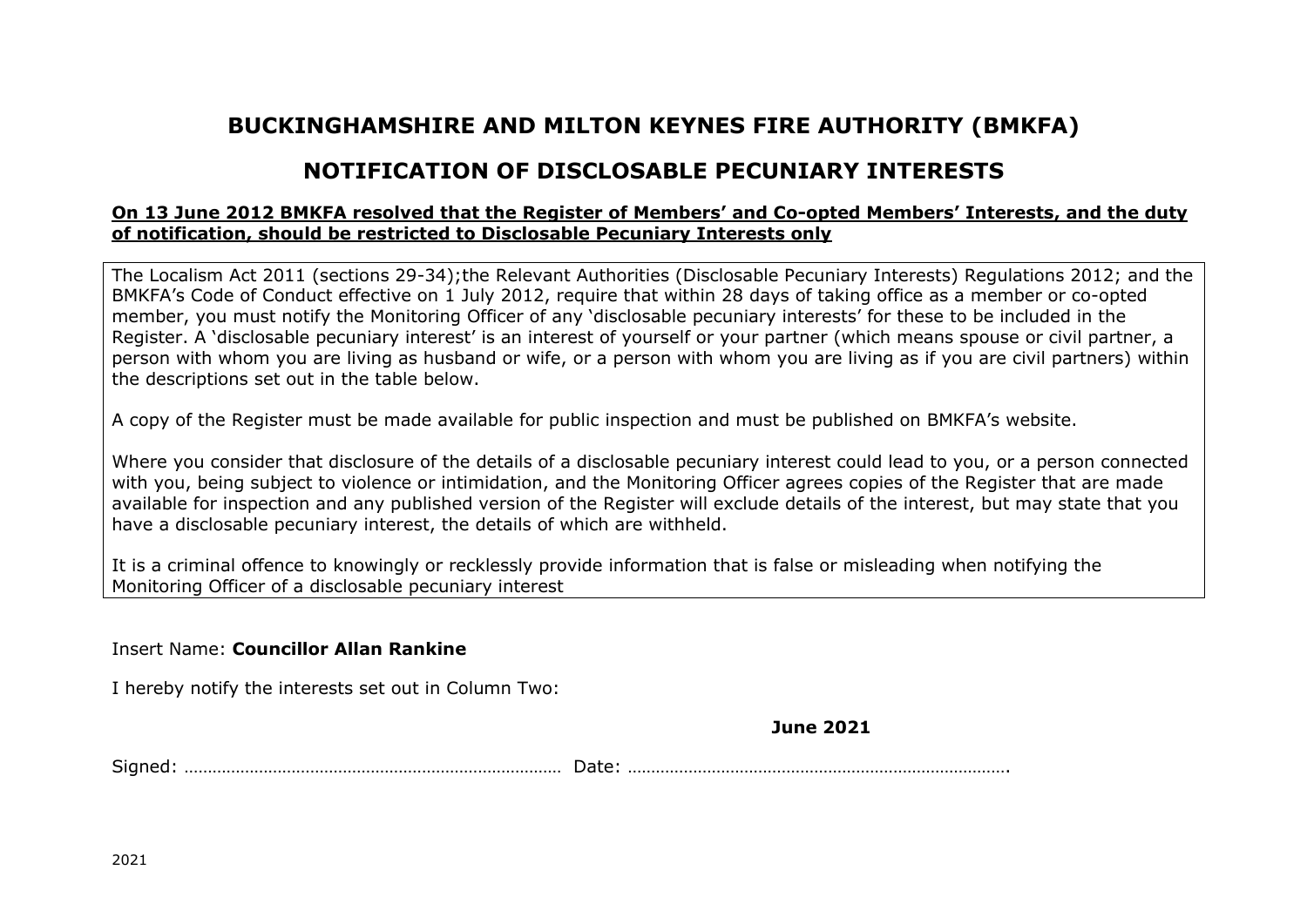## **BUCKINGHAMSHIRE AND MILTON KEYNES FIRE AUTHORITY (BMKFA)**

## **NOTIFICATION OF DISCLOSABLE PECUNIARY INTERESTS**

## **On 13 June 2012 BMKFA resolved that the Register of Members' and Co-opted Members' Interests, and the duty of notification, should be restricted to Disclosable Pecuniary Interests only**

The Localism Act 2011 (sections 29-34);the Relevant Authorities (Disclosable Pecuniary Interests) Regulations 2012; and the BMKFA's Code of Conduct effective on 1 July 2012, require that within 28 days of taking office as a member or co-opted member, you must notify the Monitoring Officer of any 'disclosable pecuniary interests' for these to be included in the Register. A 'disclosable pecuniary interest' is an interest of yourself or your partner (which means spouse or civil partner, a person with whom you are living as husband or wife, or a person with whom you are living as if you are civil partners) within the descriptions set out in the table below.

A copy of the Register must be made available for public inspection and must be published on BMKFA's website.

Where you consider that disclosure of the details of a disclosable pecuniary interest could lead to you, or a person connected with you, being subject to violence or intimidation, and the Monitoring Officer agrees copies of the Register that are made available for inspection and any published version of the Register will exclude details of the interest, but may state that you have a disclosable pecuniary interest, the details of which are withheld.

It is a criminal offence to knowingly or recklessly provide information that is false or misleading when notifying the Monitoring Officer of a disclosable pecuniary interest

## Insert Name: **Councillor Allan Rankine**

I hereby notify the interests set out in Column Two:

**June 2021**

Signed: ……………………………………………………………………… Date: ……………………………………………………………………….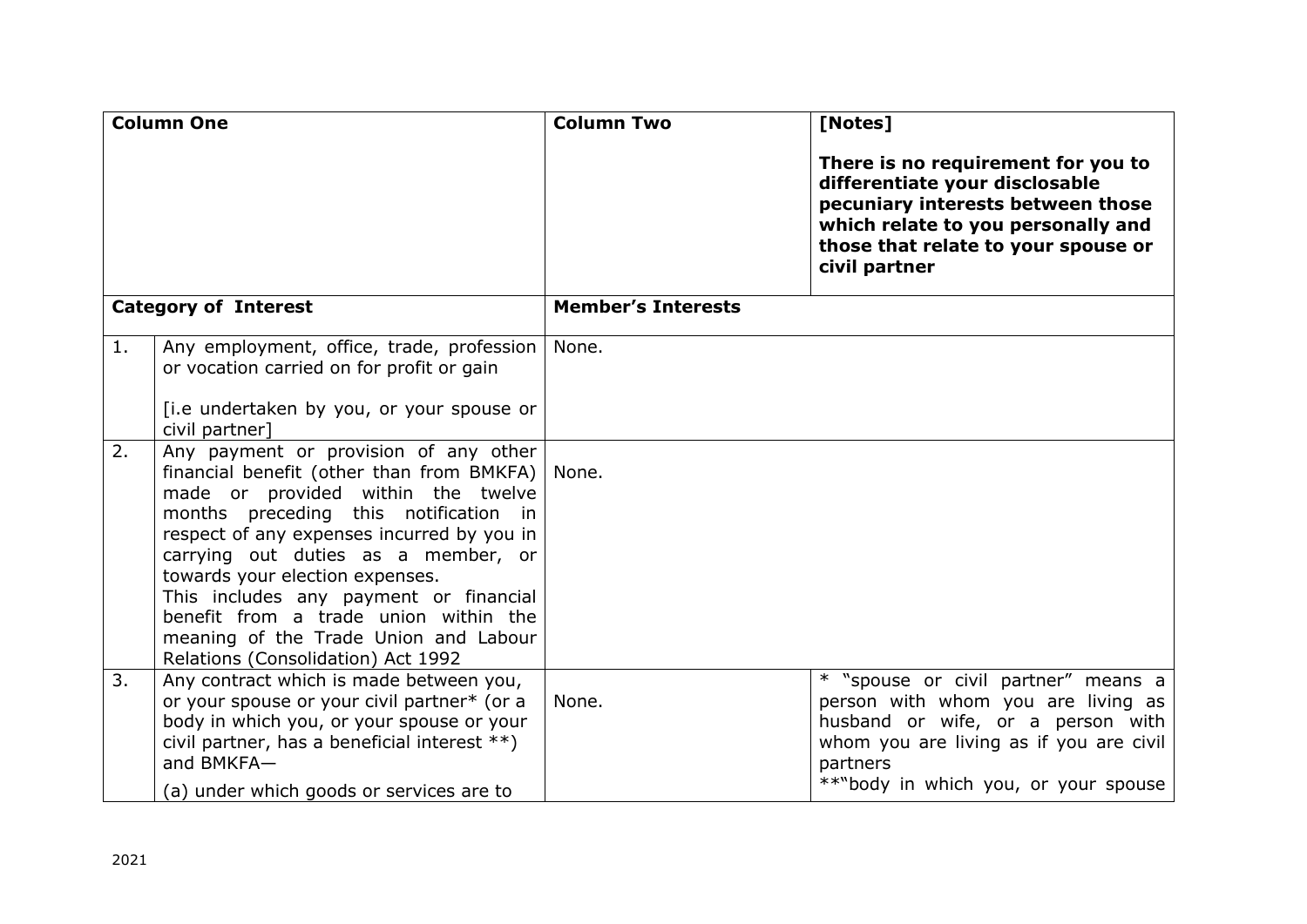| <b>Column One</b>           |                                                                                                                                                                                                                                                                                                                                                                                                                                                               | <b>Column Two</b>         | [Notes]                                                                                                                                                                                                       |
|-----------------------------|---------------------------------------------------------------------------------------------------------------------------------------------------------------------------------------------------------------------------------------------------------------------------------------------------------------------------------------------------------------------------------------------------------------------------------------------------------------|---------------------------|---------------------------------------------------------------------------------------------------------------------------------------------------------------------------------------------------------------|
|                             |                                                                                                                                                                                                                                                                                                                                                                                                                                                               |                           | There is no requirement for you to<br>differentiate your disclosable<br>pecuniary interests between those<br>which relate to you personally and<br>those that relate to your spouse or<br>civil partner       |
| <b>Category of Interest</b> |                                                                                                                                                                                                                                                                                                                                                                                                                                                               | <b>Member's Interests</b> |                                                                                                                                                                                                               |
| 1.                          | Any employment, office, trade, profession<br>or vocation carried on for profit or gain<br>[i.e undertaken by you, or your spouse or<br>civil partner]                                                                                                                                                                                                                                                                                                         | None.                     |                                                                                                                                                                                                               |
| 2.                          | Any payment or provision of any other<br>financial benefit (other than from BMKFA)  <br>made or provided within the twelve<br>months preceding this notification in<br>respect of any expenses incurred by you in<br>carrying out duties as a member, or<br>towards your election expenses.<br>This includes any payment or financial<br>benefit from a trade union within the<br>meaning of the Trade Union and Labour<br>Relations (Consolidation) Act 1992 | None.                     |                                                                                                                                                                                                               |
| 3.                          | Any contract which is made between you,<br>or your spouse or your civil partner* (or a<br>body in which you, or your spouse or your<br>civil partner, has a beneficial interest **)<br>and BMKFA-<br>(a) under which goods or services are to                                                                                                                                                                                                                 | None.                     | * "spouse or civil partner" means a<br>person with whom you are living as<br>husband or wife, or a person with<br>whom you are living as if you are civil<br>partners<br>**"body in which you, or your spouse |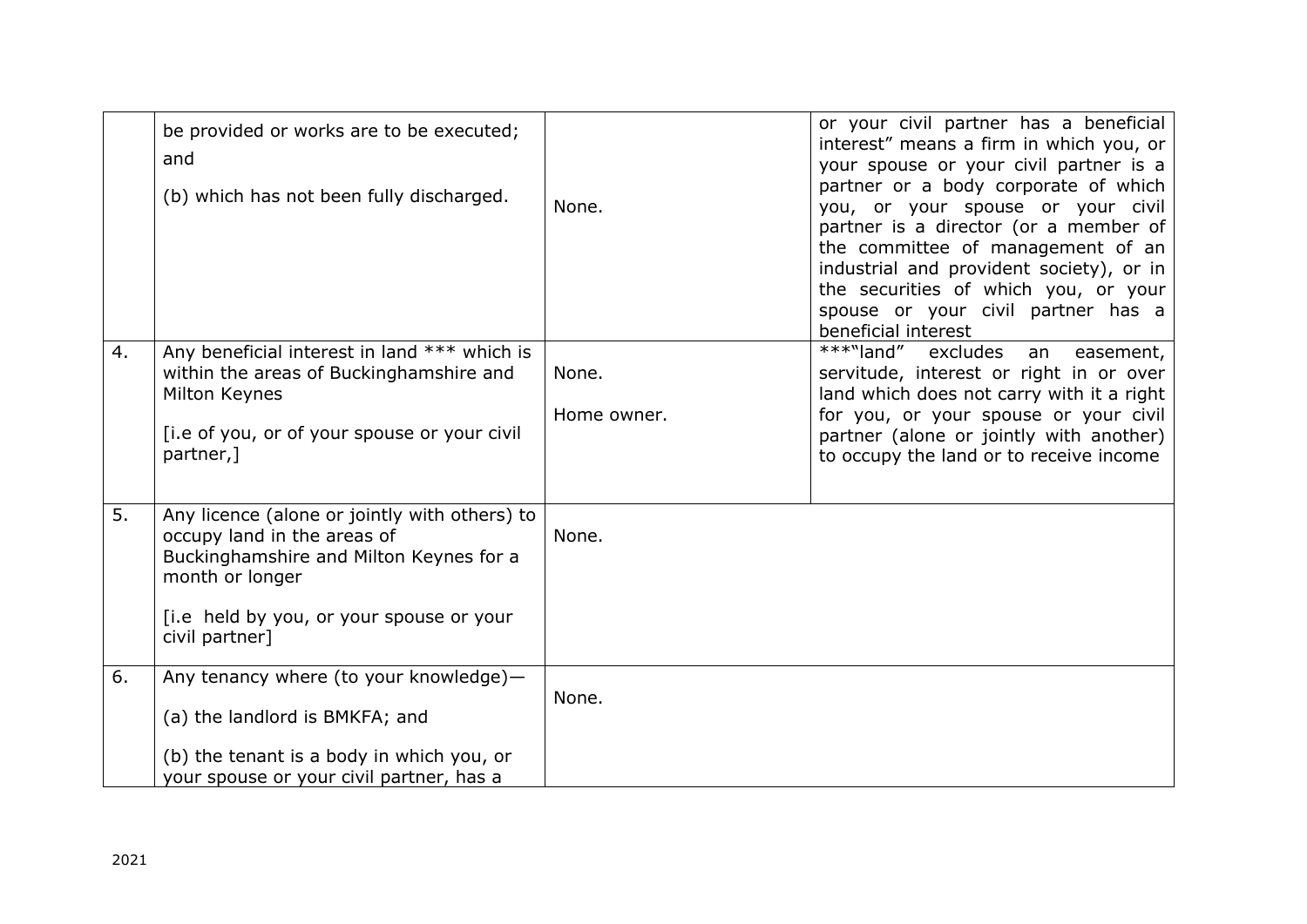|    | be provided or works are to be executed;<br>and<br>(b) which has not been fully discharged.                                                                                                              | None.                | or your civil partner has a beneficial<br>interest" means a firm in which you, or<br>your spouse or your civil partner is a<br>partner or a body corporate of which<br>you, or your spouse or your civil<br>partner is a director (or a member of<br>the committee of management of an<br>industrial and provident society), or in<br>the securities of which you, or your<br>spouse or your civil partner has a<br>beneficial interest |
|----|----------------------------------------------------------------------------------------------------------------------------------------------------------------------------------------------------------|----------------------|-----------------------------------------------------------------------------------------------------------------------------------------------------------------------------------------------------------------------------------------------------------------------------------------------------------------------------------------------------------------------------------------------------------------------------------------|
| 4. | Any beneficial interest in land *** which is<br>within the areas of Buckinghamshire and<br>Milton Keynes<br>[i.e of you, or of your spouse or your civil]<br>partner,]                                   | None.<br>Home owner. | $\overline{***}$ "land" excludes<br>easement,<br>an<br>servitude, interest or right in or over<br>land which does not carry with it a right<br>for you, or your spouse or your civil<br>partner (alone or jointly with another)<br>to occupy the land or to receive income                                                                                                                                                              |
| 5. | Any licence (alone or jointly with others) to<br>occupy land in the areas of<br>Buckinghamshire and Milton Keynes for a<br>month or longer<br>[i.e held by you, or your spouse or your<br>civil partner] | None.                |                                                                                                                                                                                                                                                                                                                                                                                                                                         |
| 6. | Any tenancy where (to your knowledge)-<br>(a) the landlord is BMKFA; and<br>(b) the tenant is a body in which you, or<br>your spouse or your civil partner, has a                                        | None.                |                                                                                                                                                                                                                                                                                                                                                                                                                                         |